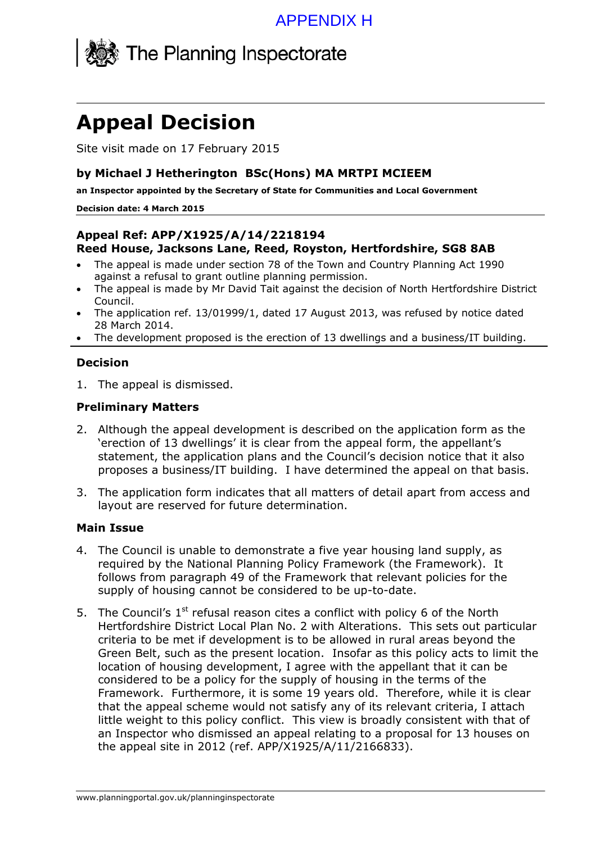

# **Appeal Decision**

Site visit made on 17 February 2015

#### **by Michael J Hetherington BSc(Hons) MA MRTPI MCIEEM**

**an Inspector appointed by the Secretary of State for Communities and Local Government** 

#### **Decision date: 4 March 2015**

### **Appeal Ref: APP/X1925/A/14/2218194 Reed House, Jacksons Lane, Reed, Royston, Hertfordshire, SG8 8AB**

- The appeal is made under section 78 of the Town and Country Planning Act 1990 against a refusal to grant outline planning permission.
- The appeal is made by Mr David Tait against the decision of North Hertfordshire District Council.
- The application ref. 13/01999/1, dated 17 August 2013, was refused by notice dated 28 March 2014.
- The development proposed is the erection of 13 dwellings and a business/IT building.

## **Decision**

1. The appeal is dismissed.

## **Preliminary Matters**

- 2. Although the appeal development is described on the application form as the 'erection of 13 dwellings' it is clear from the appeal form, the appellant's statement, the application plans and the Council's decision notice that it also proposes a business/IT building. I have determined the appeal on that basis.
- 3. The application form indicates that all matters of detail apart from access and layout are reserved for future determination.

#### **Main Issue**

- 4. The Council is unable to demonstrate a five year housing land supply, as required by the National Planning Policy Framework (the Framework). It follows from paragraph 49 of the Framework that relevant policies for the supply of housing cannot be considered to be up-to-date.
- 5. The Council's  $1<sup>st</sup>$  refusal reason cites a conflict with policy 6 of the North Hertfordshire District Local Plan No. 2 with Alterations. This sets out particular criteria to be met if development is to be allowed in rural areas beyond the Green Belt, such as the present location. Insofar as this policy acts to limit the location of housing development, I agree with the appellant that it can be considered to be a policy for the supply of housing in the terms of the Framework. Furthermore, it is some 19 years old. Therefore, while it is clear that the appeal scheme would not satisfy any of its relevant criteria, I attach little weight to this policy conflict. This view is broadly consistent with that of an Inspector who dismissed an appeal relating to a proposal for 13 houses on the appeal site in 2012 (ref. APP/X1925/A/11/2166833).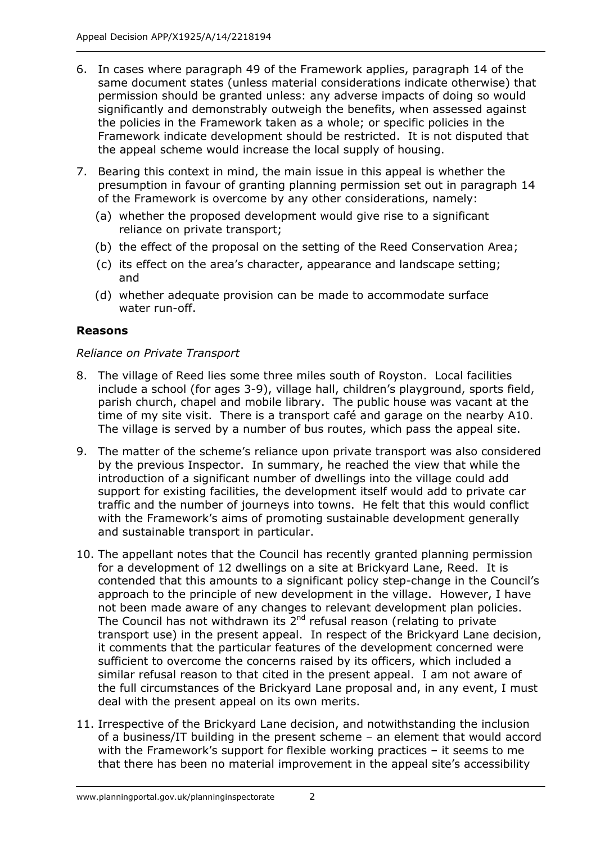- 6. In cases where paragraph 49 of the Framework applies, paragraph 14 of the same document states (unless material considerations indicate otherwise) that permission should be granted unless: any adverse impacts of doing so would significantly and demonstrably outweigh the benefits, when assessed against the policies in the Framework taken as a whole; or specific policies in the Framework indicate development should be restricted. It is not disputed that the appeal scheme would increase the local supply of housing.
- 7. Bearing this context in mind, the main issue in this appeal is whether the presumption in favour of granting planning permission set out in paragraph 14 of the Framework is overcome by any other considerations, namely:
	- (a) whether the proposed development would give rise to a significant reliance on private transport;
	- (b) the effect of the proposal on the setting of the Reed Conservation Area;
	- (c) its effect on the area's character, appearance and landscape setting; and
	- (d) whether adequate provision can be made to accommodate surface water run-off.

## **Reasons**

## *Reliance on Private Transport*

- 8. The village of Reed lies some three miles south of Royston. Local facilities include a school (for ages 3-9), village hall, children's playground, sports field, parish church, chapel and mobile library. The public house was vacant at the time of my site visit. There is a transport café and garage on the nearby A10. The village is served by a number of bus routes, which pass the appeal site.
- 9. The matter of the scheme's reliance upon private transport was also considered by the previous Inspector. In summary, he reached the view that while the introduction of a significant number of dwellings into the village could add support for existing facilities, the development itself would add to private car traffic and the number of journeys into towns. He felt that this would conflict with the Framework's aims of promoting sustainable development generally and sustainable transport in particular.
- 10. The appellant notes that the Council has recently granted planning permission for a development of 12 dwellings on a site at Brickyard Lane, Reed. It is contended that this amounts to a significant policy step-change in the Council's approach to the principle of new development in the village. However, I have not been made aware of any changes to relevant development plan policies. The Council has not withdrawn its  $2^{nd}$  refusal reason (relating to private transport use) in the present appeal. In respect of the Brickyard Lane decision, it comments that the particular features of the development concerned were sufficient to overcome the concerns raised by its officers, which included a similar refusal reason to that cited in the present appeal. I am not aware of the full circumstances of the Brickyard Lane proposal and, in any event, I must deal with the present appeal on its own merits.
- 11. Irrespective of the Brickyard Lane decision, and notwithstanding the inclusion of a business/IT building in the present scheme – an element that would accord with the Framework's support for flexible working practices – it seems to me that there has been no material improvement in the appeal site's accessibility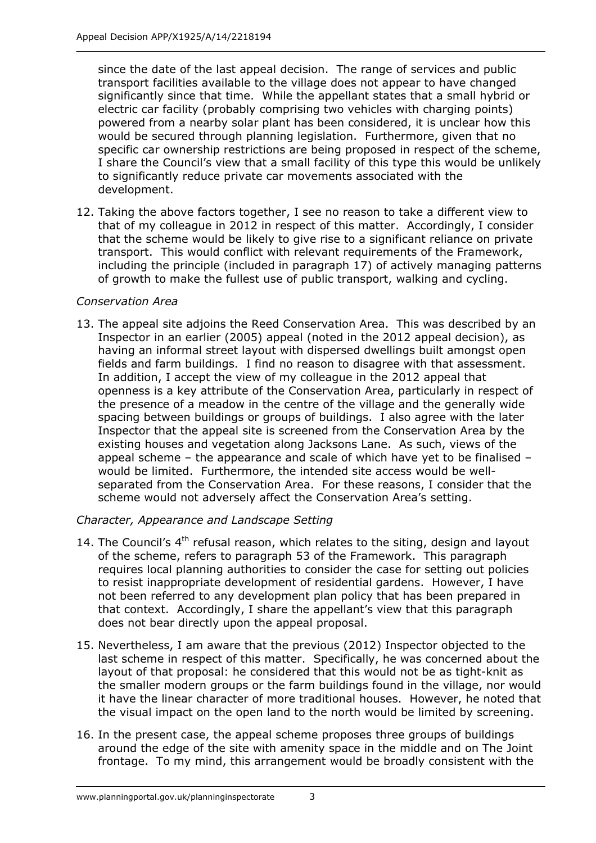since the date of the last appeal decision. The range of services and public transport facilities available to the village does not appear to have changed significantly since that time. While the appellant states that a small hybrid or electric car facility (probably comprising two vehicles with charging points) powered from a nearby solar plant has been considered, it is unclear how this would be secured through planning legislation. Furthermore, given that no specific car ownership restrictions are being proposed in respect of the scheme, I share the Council's view that a small facility of this type this would be unlikely to significantly reduce private car movements associated with the development.

12. Taking the above factors together, I see no reason to take a different view to that of my colleague in 2012 in respect of this matter. Accordingly, I consider that the scheme would be likely to give rise to a significant reliance on private transport. This would conflict with relevant requirements of the Framework, including the principle (included in paragraph 17) of actively managing patterns of growth to make the fullest use of public transport, walking and cycling.

## *Conservation Area*

13. The appeal site adjoins the Reed Conservation Area. This was described by an Inspector in an earlier (2005) appeal (noted in the 2012 appeal decision), as having an informal street layout with dispersed dwellings built amongst open fields and farm buildings. I find no reason to disagree with that assessment. In addition, I accept the view of my colleague in the 2012 appeal that openness is a key attribute of the Conservation Area, particularly in respect of the presence of a meadow in the centre of the village and the generally wide spacing between buildings or groups of buildings. I also agree with the later Inspector that the appeal site is screened from the Conservation Area by the existing houses and vegetation along Jacksons Lane. As such, views of the appeal scheme – the appearance and scale of which have yet to be finalised – would be limited. Furthermore, the intended site access would be wellseparated from the Conservation Area. For these reasons, I consider that the scheme would not adversely affect the Conservation Area's setting.

## *Character, Appearance and Landscape Setting*

- 14. The Council's  $4<sup>th</sup>$  refusal reason, which relates to the siting, design and layout of the scheme, refers to paragraph 53 of the Framework. This paragraph requires local planning authorities to consider the case for setting out policies to resist inappropriate development of residential gardens. However, I have not been referred to any development plan policy that has been prepared in that context. Accordingly, I share the appellant's view that this paragraph does not bear directly upon the appeal proposal.
- 15. Nevertheless, I am aware that the previous (2012) Inspector objected to the last scheme in respect of this matter. Specifically, he was concerned about the layout of that proposal: he considered that this would not be as tight-knit as the smaller modern groups or the farm buildings found in the village, nor would it have the linear character of more traditional houses. However, he noted that the visual impact on the open land to the north would be limited by screening.
- 16. In the present case, the appeal scheme proposes three groups of buildings around the edge of the site with amenity space in the middle and on The Joint frontage. To my mind, this arrangement would be broadly consistent with the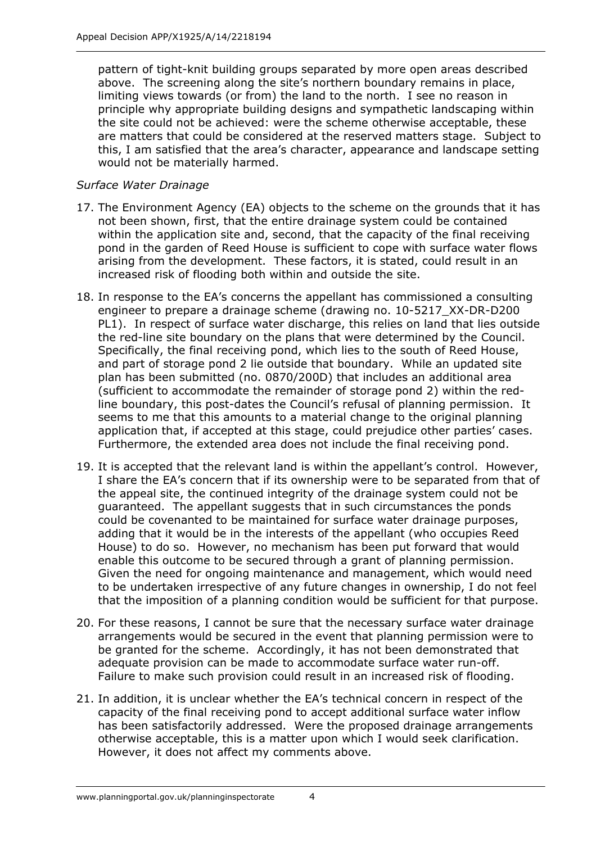pattern of tight-knit building groups separated by more open areas described above. The screening along the site's northern boundary remains in place, limiting views towards (or from) the land to the north. I see no reason in principle why appropriate building designs and sympathetic landscaping within the site could not be achieved: were the scheme otherwise acceptable, these are matters that could be considered at the reserved matters stage. Subject to this, I am satisfied that the area's character, appearance and landscape setting would not be materially harmed.

## *Surface Water Drainage*

- 17. The Environment Agency (EA) objects to the scheme on the grounds that it has not been shown, first, that the entire drainage system could be contained within the application site and, second, that the capacity of the final receiving pond in the garden of Reed House is sufficient to cope with surface water flows arising from the development. These factors, it is stated, could result in an increased risk of flooding both within and outside the site.
- 18. In response to the EA's concerns the appellant has commissioned a consulting engineer to prepare a drainage scheme (drawing no. 10-5217\_XX-DR-D200 PL1). In respect of surface water discharge, this relies on land that lies outside the red-line site boundary on the plans that were determined by the Council. Specifically, the final receiving pond, which lies to the south of Reed House, and part of storage pond 2 lie outside that boundary. While an updated site plan has been submitted (no. 0870/200D) that includes an additional area (sufficient to accommodate the remainder of storage pond 2) within the redline boundary, this post-dates the Council's refusal of planning permission. It seems to me that this amounts to a material change to the original planning application that, if accepted at this stage, could prejudice other parties' cases. Furthermore, the extended area does not include the final receiving pond.
- 19. It is accepted that the relevant land is within the appellant's control. However, I share the EA's concern that if its ownership were to be separated from that of the appeal site, the continued integrity of the drainage system could not be guaranteed. The appellant suggests that in such circumstances the ponds could be covenanted to be maintained for surface water drainage purposes, adding that it would be in the interests of the appellant (who occupies Reed House) to do so. However, no mechanism has been put forward that would enable this outcome to be secured through a grant of planning permission. Given the need for ongoing maintenance and management, which would need to be undertaken irrespective of any future changes in ownership, I do not feel that the imposition of a planning condition would be sufficient for that purpose.
- 20. For these reasons, I cannot be sure that the necessary surface water drainage arrangements would be secured in the event that planning permission were to be granted for the scheme. Accordingly, it has not been demonstrated that adequate provision can be made to accommodate surface water run-off. Failure to make such provision could result in an increased risk of flooding.
- 21. In addition, it is unclear whether the EA's technical concern in respect of the capacity of the final receiving pond to accept additional surface water inflow has been satisfactorily addressed. Were the proposed drainage arrangements otherwise acceptable, this is a matter upon which I would seek clarification. However, it does not affect my comments above.